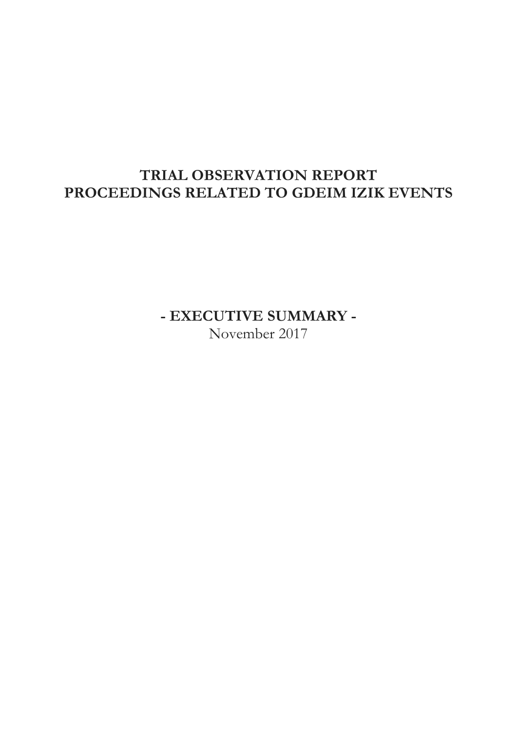# **TRIAL OBSERVATION REPORT PROCEEDINGS RELATED TO GDEIM IZIK EVENTS**

**- EXECUTIVE SUMMARY -**

November 2017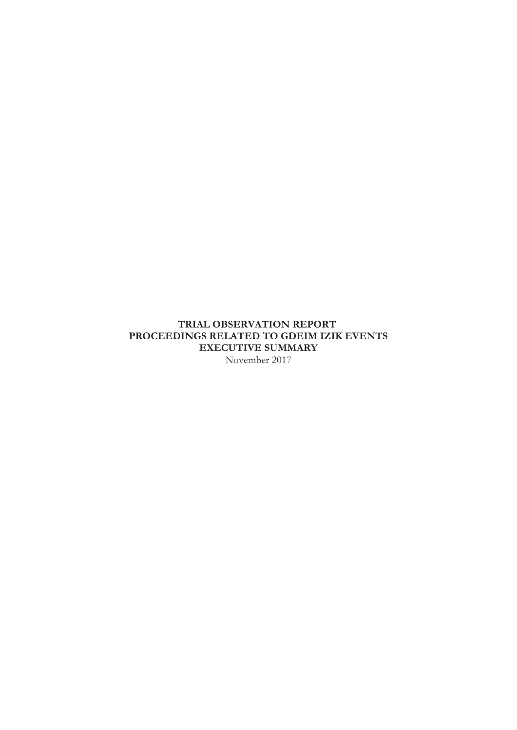## **TRIAL OBSERVATION REPORT PROCEEDINGS RELATED TO GDEIM IZIK EVENTS EXECUTIVE SUMMARY** November 2017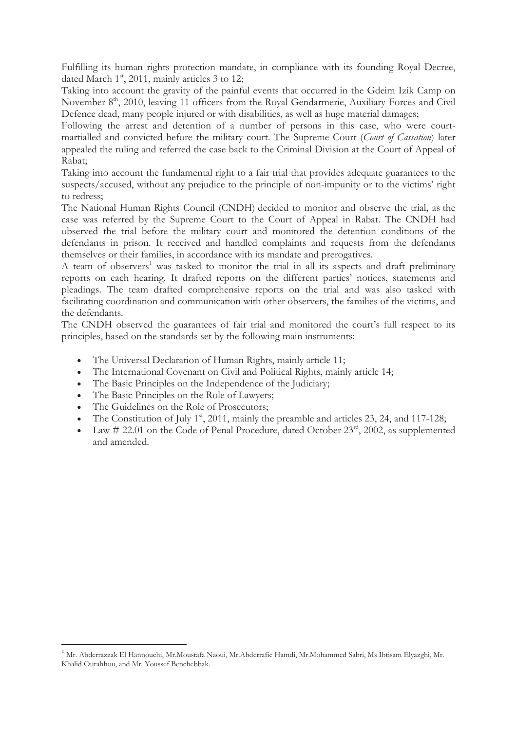Fulfilling its human rights protection mandate, in compliance with its founding Royal Decree, dated March 1<sup>st</sup>, 2011, mainly articles 3 to 12;

Taking into account the gravity of the painful events that occurred in the Gdeim Izik Camp on November 8<sup>th</sup>, 2010, leaving 11 officers from the Royal Gendarmerie, Auxiliary Forces and Civil Defence dead, many people injured or with disabilities, as well as huge material damages;

Following the arrest and detention of a number of persons in this case, who were courtmartialled and convicted before the military court. The Supreme Court (*Court of Cassation*) later appealed the ruling and referred the case back to the Criminal Division at the Court of Appeal of Rabat;

Taking into account the fundamental right to a fair trial that provides adequate guarantees to the suspects/accused, without any prejudice to the principle of non-impunity or to the victims' right to redress;

The National Human Rights Council (CNDH) decided to monitor and observe the trial, as the case was referred by the Supreme Court to the Court of Appeal in Rabat. The CNDH had observed the trial before the military court and monitored the detention conditions of the defendants in prison. It received and handled complaints and requests from the defendants themselves or their families, in accordance with its mandate and prerogatives.

A team of observers<sup>1</sup> was tasked to monitor the trial in all its aspects and draft preliminary reports on each hearing. It drafted reports on the different parties' notices, statements and pleadings. The team drafted comprehensive reports on the trial and was also tasked with facilitating coordination and communication with other observers, the families of the victims, and the defendants.

The CNDH observed the guarantees of fair trial and monitored the court's full respect to its principles, based on the standards set by the following main instruments:

- The Universal Declaration of Human Rights, mainly article 11;
- The International Covenant on Civil and Political Rights, mainly article 14;
- The Basic Principles on the Independence of the Judiciary;
- The Basic Principles on the Role of Lawyers;
- The Guidelines on the Role of Prosecutors;

- The Constitution of July 1<sup>st</sup>, 2011, mainly the preamble and articles 23, 24, and 117-128;
- Law  $\#$  22.01 on the Code of Penal Procedure, dated October 23<sup>rd</sup>, 2002, as supplemented and amended.

<sup>1</sup> Mr. Abderrazzak El Hannouchi, Mr.Moustafa Naoui, Mr.Abderrafie Hamdi, Mr.Mohammed Sabri, Ms Ibtisam Elyazghi, Mr. Khalid Ourahhou, and Mr. Youssef Benchebbak.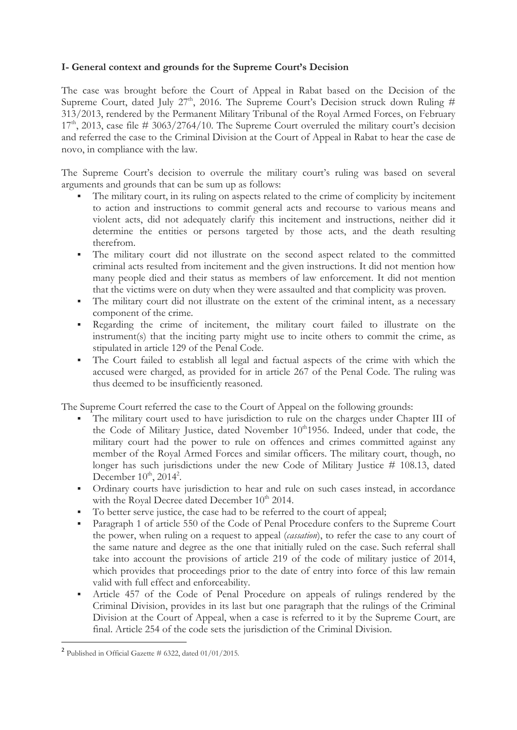# **I- General context and grounds for the Supreme Court's Decision**

The case was brought before the Court of Appeal in Rabat based on the Decision of the Supreme Court, dated July 27<sup>th</sup>, 2016. The Supreme Court's Decision struck down Ruling # 313/2013, rendered by the Permanent Military Tribunal of the Royal Armed Forces, on February 17<sup>th</sup>, 2013, case file # 3063/2764/10. The Supreme Court overruled the military court's decision and referred the case to the Criminal Division at the Court of Appeal in Rabat to hear the case de novo, in compliance with the law.

The Supreme Court's decision to overrule the military court's ruling was based on several arguments and grounds that can be sum up as follows:

- The military court, in its ruling on aspects related to the crime of complicity by incitement to action and instructions to commit general acts and recourse to various means and violent acts, did not adequately clarify this incitement and instructions, neither did it determine the entities or persons targeted by those acts, and the death resulting therefrom.
- The military court did not illustrate on the second aspect related to the committed criminal acts resulted from incitement and the given instructions. It did not mention how many people died and their status as members of law enforcement. It did not mention that the victims were on duty when they were assaulted and that complicity was proven.
- The military court did not illustrate on the extent of the criminal intent, as a necessary component of the crime.
- Regarding the crime of incitement, the military court failed to illustrate on the instrument(s) that the inciting party might use to incite others to commit the crime, as stipulated in article 129 of the Penal Code.
- The Court failed to establish all legal and factual aspects of the crime with which the accused were charged, as provided for in article 267 of the Penal Code. The ruling was thus deemed to be insufficiently reasoned.

The Supreme Court referred the case to the Court of Appeal on the following grounds:

- The military court used to have jurisdiction to rule on the charges under Chapter III of the Code of Military Justice, dated November  $10<sup>th</sup>1956$ . Indeed, under that code, the military court had the power to rule on offences and crimes committed against any member of the Royal Armed Forces and similar officers. The military court, though, no longer has such jurisdictions under the new Code of Military Justice # 108.13, dated December  $10^{th}$ , 2014<sup>2</sup>.
- Ordinary courts have jurisdiction to hear and rule on such cases instead, in accordance with the Royal Decree dated December 10<sup>th</sup> 2014.
- To better serve justice, the case had to be referred to the court of appeal;
- Paragraph 1 of article 550 of the Code of Penal Procedure confers to the Supreme Court the power, when ruling on a request to appeal (*cassation*), to refer the case to any court of the same nature and degree as the one that initially ruled on the case. Such referral shall take into account the provisions of article 219 of the code of military justice of 2014, which provides that proceedings prior to the date of entry into force of this law remain valid with full effect and enforceability.
- Article 457 of the Code of Penal Procedure on appeals of rulings rendered by the Criminal Division, provides in its last but one paragraph that the rulings of the Criminal Division at the Court of Appeal, when a case is referred to it by the Supreme Court, are final. Article 254 of the code sets the jurisdiction of the Criminal Division.

<sup>&</sup>lt;sup>2</sup> Published in Official Gazette # 6322, dated 01/01/2015.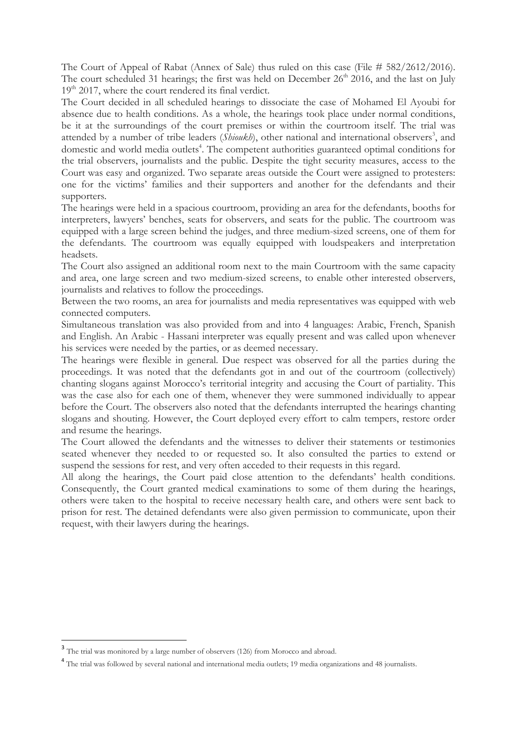The Court of Appeal of Rabat (Annex of Sale) thus ruled on this case (File #  $582/2612/2016$ ). The court scheduled 31 hearings; the first was held on December  $26<sup>th</sup> 2016$ , and the last on July 19<sup>th</sup> 2017, where the court rendered its final verdict.

The Court decided in all scheduled hearings to dissociate the case of Mohamed El Ayoubi for absence due to health conditions. As a whole, the hearings took place under normal conditions, be it at the surroundings of the court premises or within the courtroom itself. The trial was attended by a number of tribe leaders (Shioukh), other national and international observers<sup>3</sup>, and domestic and world media outlets<sup>4</sup>. The competent authorities guaranteed optimal conditions for the trial observers, journalists and the public. Despite the tight security measures, access to the Court was easy and organized. Two separate areas outside the Court were assigned to protesters: one for the victims' families and their supporters and another for the defendants and their supporters.

The hearings were held in a spacious courtroom, providing an area for the defendants, booths for interpreters, lawyers' benches, seats for observers, and seats for the public. The courtroom was equipped with a large screen behind the judges, and three medium-sized screens, one of them for the defendants. The courtroom was equally equipped with loudspeakers and interpretation headsets.

The Court also assigned an additional room next to the main Courtroom with the same capacity and area, one large screen and two medium-sized screens, to enable other interested observers, journalists and relatives to follow the proceedings.

Between the two rooms, an area for journalists and media representatives was equipped with web connected computers.

Simultaneous translation was also provided from and into 4 languages: Arabic, French, Spanish and English. An Arabic - Hassani interpreter was equally present and was called upon whenever his services were needed by the parties, or as deemed necessary.

The hearings were flexible in general. Due respect was observed for all the parties during the proceedings. It was noted that the defendants got in and out of the courtroom (collectively) chanting slogans against Morocco's territorial integrity and accusing the Court of partiality. This was the case also for each one of them, whenever they were summoned individually to appear before the Court. The observers also noted that the defendants interrupted the hearings chanting slogans and shouting. However, the Court deployed every effort to calm tempers, restore order and resume the hearings.

The Court allowed the defendants and the witnesses to deliver their statements or testimonies seated whenever they needed to or requested so. It also consulted the parties to extend or suspend the sessions for rest, and very often acceded to their requests in this regard.

All along the hearings, the Court paid close attention to the defendants' health conditions. Consequently, the Court granted medical examinations to some of them during the hearings, others were taken to the hospital to receive necessary health care, and others were sent back to prison for rest. The detained defendants were also given permission to communicate, upon their request, with their lawyers during the hearings.

<sup>&</sup>lt;sup>3</sup> The trial was monitored by a large number of observers (126) from Morocco and abroad.

<sup>&</sup>lt;sup>4</sup> The trial was followed by several national and international media outlets; 19 media organizations and 48 journalists.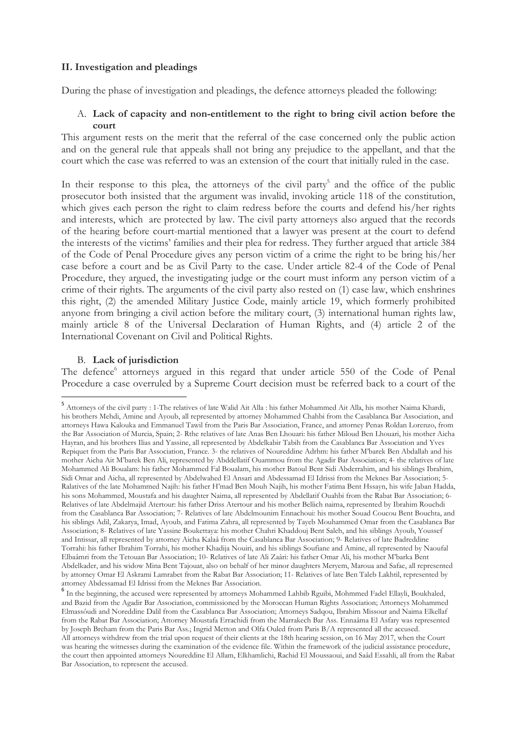## **II. Investigation and pleadings**

During the phase of investigation and pleadings, the defence attorneys pleaded the following:

## A. **Lack of capacity and non-entitlement to the right to bring civil action before the court**

This argument rests on the merit that the referral of the case concerned only the public action and on the general rule that appeals shall not bring any prejudice to the appellant, and that the court which the case was referred to was an extension of the court that initially ruled in the case.

In their response to this plea, the attorneys of the civil party<sup>5</sup> and the office of the public prosecutor both insisted that the argument was invalid, invoking article 118 of the constitution, which gives each person the right to claim redress before the courts and defend his/her rights and interests, which are protected by law. The civil party attorneys also argued that the records of the hearing before court-martial mentioned that a lawyer was present at the court to defend the interests of the victims' families and their plea for redress. They further argued that article 384 of the Code of Penal Procedure gives any person victim of a crime the right to be bring his/her case before a court and be as Civil Party to the case. Under article 82-4 of the Code of Penal Procedure, they argued, the investigating judge or the court must inform any person victim of a crime of their rights. The arguments of the civil party also rested on (1) case law, which enshrines this right, (2) the amended Military Justice Code, mainly article 19, which formerly prohibited anyone from bringing a civil action before the military court, (3) international human rights law, mainly article 8 of the Universal Declaration of Human Rights, and (4) article 2 of the International Covenant on Civil and Political Rights.

## B. **Lack of jurisdiction**

1

The defence<sup>6</sup> attorneys argued in this regard that under article 550 of the Code of Penal Procedure a case overruled by a Supreme Court decision must be referred back to a court of the

<sup>5</sup> Attorneys of the civil party : 1-The relatives of late Walid Ait Alla : his father Mohammed Ait Alla, his mother Naima Khardi, his brothers Mehdi, Amine and Ayoub, all represented by attorney Mohammed Chahbi from the Casablanca Bar Association, and attorneys Hawa Kalouka and Emmanuel Tawil from the Paris Bar Association, France, and attorney Penas Roldan Lorenzo, from the Bar Association of Murcia, Spain; 2- Rthe relatives of late Anas Ben Lhouari: his father Miloud Ben Lhouari, his mother Aicha Hayran, and his brothers Ilias and Yassine, all represented by Abdelkabir Tabih from the Casablanca Bar Association and Yves Repiquet from the Paris Bar Association, France. 3- the relatives of Noureddine Adrhm: his father M'barek Ben Abdallah and his mother Aicha Ait M'barek Ben Ali, represented by Abddellatif Ouammou from the Agadir Bar Association; 4- the relatives of late Mohammed Ali Boualam: his father Mohammed Fal Boualam, his mother Batoul Bent Sidi Abderrahim, and his siblings Ibrahim, Sidi Omar and Aicha, all represented by Abdelwahed El Ansari and Abdessamad El Idrissi from the Meknes Bar Association; 5- Ralatives of the late Mohammed Najih: his father H'mad Ben Mouh Najih, his mother Fatima Bent Hssayn, his wife Jaban Hadda, his sons Mohammed, Moustafa and his daughter Naima, all represented by Abdellatif Ouahbi from the Rabat Bar Association; 6- Relatives of late Abdelmajid Atertour: his father Driss Atertour and his mother Belîich naima, represented by Ibrahim Rouchdi from the Casablanca Bar Association; 7- Relatives of late Abdelmounim Ennachoui: his mother Souad Coucou Bent Bouchta, and his siblings Adil, Zakarya, Imad, Ayoub, and Fatima Zahra, all represented by Tayeb Mouhammed Omar from the Casablanca Bar Association; 8- Relatives of late Yassine Boukettaya: his mother Chahri Khaddouj Bent Saleh, and his siblings Ayoub, Youssef and Intissar, all represented by attorney Aicha Kalaâ from the Casablanca Bar Association; 9- Relatives of late Badreddine Torrahi: his father Ibrahim Torrahi, his mother Khadija Nouiri, and his siblings Soufiane and Amine, all represented by Naoufal Elbaâmri from the Tetouan Bar Association; 10- Relatives of late Ali Zaâri: his father Omar Ali, his mother M'barka Bent Abdelkader, and his widow Mina Bent Tajouat, also on behalf of her minor daughters Meryem, Maroua and Safae, all represented by attorney Omar El Askrami Lamrabet from the Rabat Bar Association; 11- Relatives of late Ben Taleb Lakhtil, represented by attorney Abdessamad El Idrissi from the Meknes Bar Association.

<sup>&</sup>lt;sup>6</sup> In the beginning, the accused were represented by attorneys Mohammed Lahbib Rguibi, Mohmmed Fadel Ellayli, Boukhaled, and Bazid from the Agadir Bar Association, commissioned by the Moroccan Human Rights Association; Attorneys Mohammed Elmassôudi and Noreddine Dalil from the Casablanca Bar Association; Attorneys Sadqou, Ibrahim Missour and Naima Elkellaf from the Rabat Bar Association; Attorney Moustafa Errachidi from the Marrakech Bar Ass. Ennaâma El Asfary was represented by Joseph Breham from the Paris Bar Ass.; Ingrid Metton and Olfa Ouled from Paris B/A represented all the accused. All attorneys withdrew from the trial upon request of their clients at the 18th hearing session, on 16 May 2017, when the Court was hearing the witnesses during the examination of the evidence file. Within the framework of the judicial assistance procedure, the court then appointed attorneys Noureddine El Allam, Elkhamlichi, Rachid El Moussaoui, and Saâd Essahli, all from the Rabat Bar Association, to represent the accused.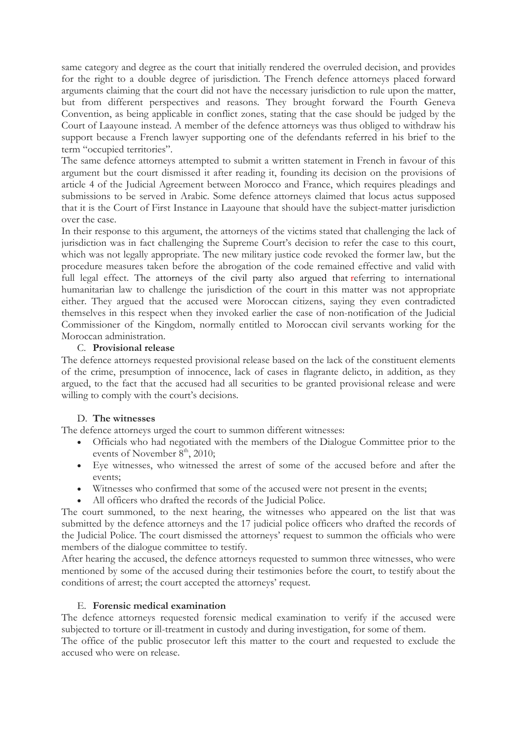same category and degree as the court that initially rendered the overruled decision, and provides for the right to a double degree of jurisdiction. The French defence attorneys placed forward arguments claiming that the court did not have the necessary jurisdiction to rule upon the matter, but from different perspectives and reasons. They brought forward the Fourth Geneva Convention, as being applicable in conflict zones, stating that the case should be judged by the Court of Laayoune instead. A member of the defence attorneys was thus obliged to withdraw his support because a French lawyer supporting one of the defendants referred in his brief to the term "occupied territories".

The same defence attorneys attempted to submit a written statement in French in favour of this argument but the court dismissed it after reading it, founding its decision on the provisions of article 4 of the Judicial Agreement between Morocco and France, which requires pleadings and submissions to be served in Arabic. Some defence attorneys claimed that locus actus supposed that it is the Court of First Instance in Laayoune that should have the subject-matter jurisdiction over the case.

In their response to this argument, the attorneys of the victims stated that challenging the lack of jurisdiction was in fact challenging the Supreme Court's decision to refer the case to this court, which was not legally appropriate. The new military justice code revoked the former law, but the procedure measures taken before the abrogation of the code remained effective and valid with full legal effect. The attorneys of the civil party also argued that referring to international humanitarian law to challenge the jurisdiction of the court in this matter was not appropriate either. They argued that the accused were Moroccan citizens, saying they even contradicted themselves in this respect when they invoked earlier the case of non-notification of the Judicial Commissioner of the Kingdom, normally entitled to Moroccan civil servants working for the Moroccan administration.

## C. **Provisional release**

The defence attorneys requested provisional release based on the lack of the constituent elements of the crime, presumption of innocence, lack of cases in flagrante delicto, in addition, as they argued, to the fact that the accused had all securities to be granted provisional release and were willing to comply with the court's decisions.

## D. **The witnesses**

The defence attorneys urged the court to summon different witnesses:

- Officials who had negotiated with the members of the Dialogue Committee prior to the events of November 8<sup>th</sup>, 2010;
- Eye witnesses, who witnessed the arrest of some of the accused before and after the events;
- Witnesses who confirmed that some of the accused were not present in the events;
- All officers who drafted the records of the Judicial Police.

The court summoned, to the next hearing, the witnesses who appeared on the list that was submitted by the defence attorneys and the 17 judicial police officers who drafted the records of the Judicial Police. The court dismissed the attorneys' request to summon the officials who were members of the dialogue committee to testify.

After hearing the accused, the defence attorneys requested to summon three witnesses, who were mentioned by some of the accused during their testimonies before the court, to testify about the conditions of arrest; the court accepted the attorneys' request.

## E. **Forensic medical examination**

The defence attorneys requested forensic medical examination to verify if the accused were subjected to torture or ill-treatment in custody and during investigation, for some of them.

The office of the public prosecutor left this matter to the court and requested to exclude the accused who were on release.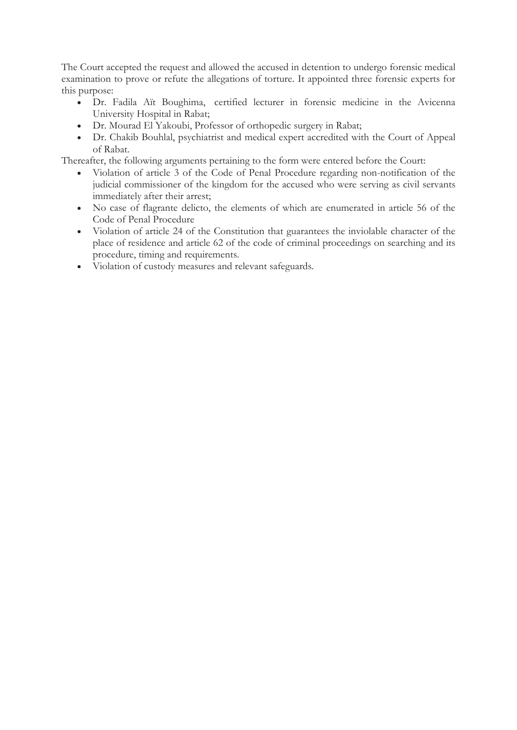The Court accepted the request and allowed the accused in detention to undergo forensic medical examination to prove or refute the allegations of torture. It appointed three forensic experts for this purpose:

- Dr. Fadila Aït Boughima, certified lecturer in forensic medicine in the Avicenna University Hospital in Rabat;
- Dr. Mourad El Yakoubi, Professor of orthopedic surgery in Rabat;
- Dr. Chakib Bouhlal, psychiatrist and medical expert accredited with the Court of Appeal of Rabat.

Thereafter, the following arguments pertaining to the form were entered before the Court:

- Violation of article 3 of the Code of Penal Procedure regarding non-notification of the judicial commissioner of the kingdom for the accused who were serving as civil servants immediately after their arrest;
- No case of flagrante delicto, the elements of which are enumerated in article 56 of the Code of Penal Procedure
- Violation of article 24 of the Constitution that guarantees the inviolable character of the place of residence and article 62 of the code of criminal proceedings on searching and its procedure, timing and requirements.
- Violation of custody measures and relevant safeguards.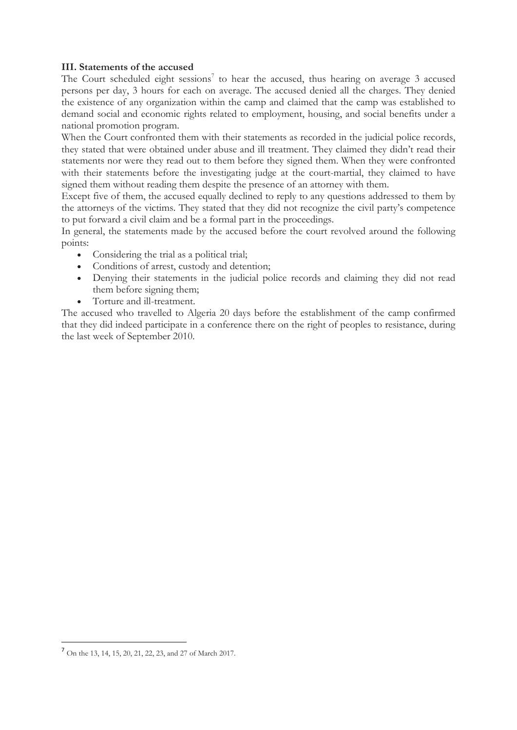## **III. Statements of the accused**

The Court scheduled eight sessions<sup>7</sup> to hear the accused, thus hearing on average 3 accused persons per day, 3 hours for each on average. The accused denied all the charges. They denied the existence of any organization within the camp and claimed that the camp was established to demand social and economic rights related to employment, housing, and social benefits under a national promotion program.

When the Court confronted them with their statements as recorded in the judicial police records, they stated that were obtained under abuse and ill treatment. They claimed they didn't read their statements nor were they read out to them before they signed them. When they were confronted with their statements before the investigating judge at the court-martial, they claimed to have signed them without reading them despite the presence of an attorney with them.

Except five of them, the accused equally declined to reply to any questions addressed to them by the attorneys of the victims. They stated that they did not recognize the civil party's competence to put forward a civil claim and be a formal part in the proceedings.

In general, the statements made by the accused before the court revolved around the following points:

- Considering the trial as a political trial;
- Conditions of arrest, custody and detention;
- Denying their statements in the judicial police records and claiming they did not read them before signing them;
- Torture and ill-treatment.

The accused who travelled to Algeria 20 days before the establishment of the camp confirmed that they did indeed participate in a conference there on the right of peoples to resistance, during the last week of September 2010.

<sup>7</sup> On the 13, 14, 15, 20, 21, 22, 23, and 27 of March 2017.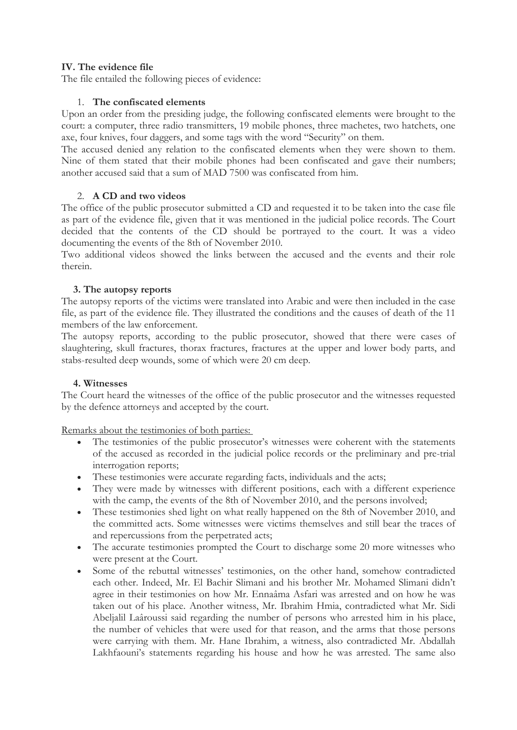## **IV. The evidence file**

The file entailed the following pieces of evidence:

## 1. **The confiscated elements**

Upon an order from the presiding judge, the following confiscated elements were brought to the court: a computer, three radio transmitters, 19 mobile phones, three machetes, two hatchets, one axe, four knives, four daggers, and some tags with the word "Security" on them.

The accused denied any relation to the confiscated elements when they were shown to them. Nine of them stated that their mobile phones had been confiscated and gave their numbers; another accused said that a sum of MAD 7500 was confiscated from him.

## 2. **A CD and two videos**

The office of the public prosecutor submitted a CD and requested it to be taken into the case file as part of the evidence file, given that it was mentioned in the judicial police records. The Court decided that the contents of the CD should be portrayed to the court. It was a video documenting the events of the 8th of November 2010.

Two additional videos showed the links between the accused and the events and their role therein.

#### **3. The autopsy reports**

The autopsy reports of the victims were translated into Arabic and were then included in the case file, as part of the evidence file. They illustrated the conditions and the causes of death of the 11 members of the law enforcement.

The autopsy reports, according to the public prosecutor, showed that there were cases of slaughtering, skull fractures, thorax fractures, fractures at the upper and lower body parts, and stabs-resulted deep wounds, some of which were 20 cm deep.

#### **4. Witnesses**

The Court heard the witnesses of the office of the public prosecutor and the witnesses requested by the defence attorneys and accepted by the court.

Remarks about the testimonies of both parties:

- The testimonies of the public prosecutor's witnesses were coherent with the statements of the accused as recorded in the judicial police records or the preliminary and pre-trial interrogation reports;
- These testimonies were accurate regarding facts, individuals and the acts;
- They were made by witnesses with different positions, each with a different experience with the camp, the events of the 8th of November 2010, and the persons involved;
- These testimonies shed light on what really happened on the 8th of November 2010, and the committed acts. Some witnesses were victims themselves and still bear the traces of and repercussions from the perpetrated acts;
- The accurate testimonies prompted the Court to discharge some 20 more witnesses who were present at the Court.
- Some of the rebuttal witnesses' testimonies, on the other hand, somehow contradicted each other. Indeed, Mr. El Bachir Slimani and his brother Mr. Mohamed Slimani didn't agree in their testimonies on how Mr. Ennaâma Asfari was arrested and on how he was taken out of his place. Another witness, Mr. Ibrahim Hmia, contradicted what Mr. Sidi Abeljalil Laâroussi said regarding the number of persons who arrested him in his place, the number of vehicles that were used for that reason, and the arms that those persons were carrying with them. Mr. Hane Ibrahim, a witness, also contradicted Mr. Abdallah Lakhfaouni's statements regarding his house and how he was arrested. The same also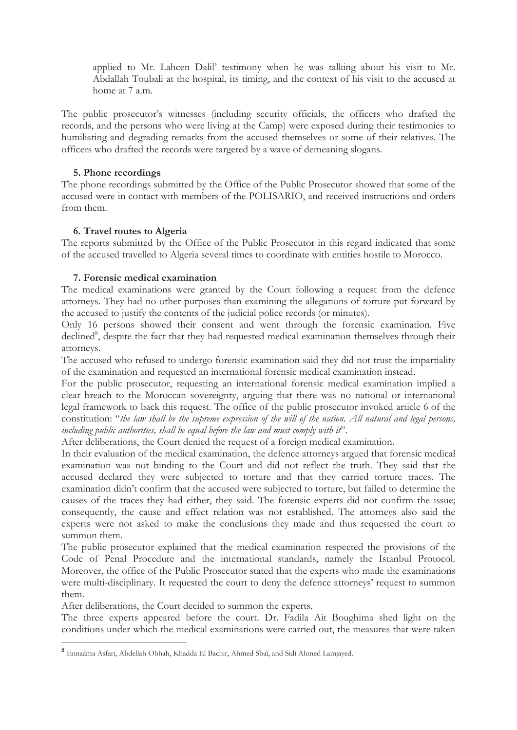applied to Mr. Lahcen Dalil' testimony when he was talking about his visit to Mr. Abdallah Toubali at the hospital, its timing, and the context of his visit to the accused at home at 7 a.m.

The public prosecutor's witnesses (including security officials, the officers who drafted the records, and the persons who were living at the Camp) were exposed during their testimonies to humiliating and degrading remarks from the accused themselves or some of their relatives. The officers who drafted the records were targeted by a wave of demeaning slogans.

## **5. Phone recordings**

The phone recordings submitted by the Office of the Public Prosecutor showed that some of the accused were in contact with members of the POLISARIO, and received instructions and orders from them.

## **6. Travel routes to Algeria**

The reports submitted by the Office of the Public Prosecutor in this regard indicated that some of the accused travelled to Algeria several times to coordinate with entities hostile to Morocco.

## **7. Forensic medical examination**

The medical examinations were granted by the Court following a request from the defence attorneys. They had no other purposes than examining the allegations of torture put forward by the accused to justify the contents of the judicial police records (or minutes).

Only 16 persons showed their consent and went through the forensic examination. Five declined<sup>8</sup>, despite the fact that they had requested medical examination themselves through their attorneys.

The accused who refused to undergo forensic examination said they did not trust the impartiality of the examination and requested an international forensic medical examination instead.

For the public prosecutor, requesting an international forensic medical examination implied a clear breach to the Moroccan sovereignty, arguing that there was no national or international legal framework to back this request. The office of the public prosecutor invoked article 6 of the constitution: "the law shall be the supreme expression of the will of the nation. All natural and legal persons, *including public authorities, shall be equal before the law and must comply with it*".

After deliberations, the Court denied the request of a foreign medical examination.

In their evaluation of the medical examination, the defence attorneys argued that forensic medical examination was not binding to the Court and did not reflect the truth. They said that the accused declared they were subjected to torture and that they carried torture traces. The examination didn't confirm that the accused were subjected to torture, but failed to determine the causes of the traces they had either, they said. The forensic experts did not confirm the issue; consequently, the cause and effect relation was not established. The attorneys also said the experts were not asked to make the conclusions they made and thus requested the court to summon them.

The public prosecutor explained that the medical examination respected the provisions of the Code of Penal Procedure and the international standards, namely the Istanbul Protocol. Moreover, the office of the Public Prosecutor stated that the experts who made the examinations were multi-disciplinary. It requested the court to deny the defence attorneys' request to summon them.

After deliberations, the Court decided to summon the experts.

**.** 

The three experts appeared before the court. Dr. Fadila Ait Boughima shed light on the conditions under which the medical examinations were carried out, the measures that were taken

<sup>8</sup> Ennaâma Asfari, Abdellah Obhah, Khadda El Bachir, Ahmed Sbaï, and Sidi Ahmed Lamjayed.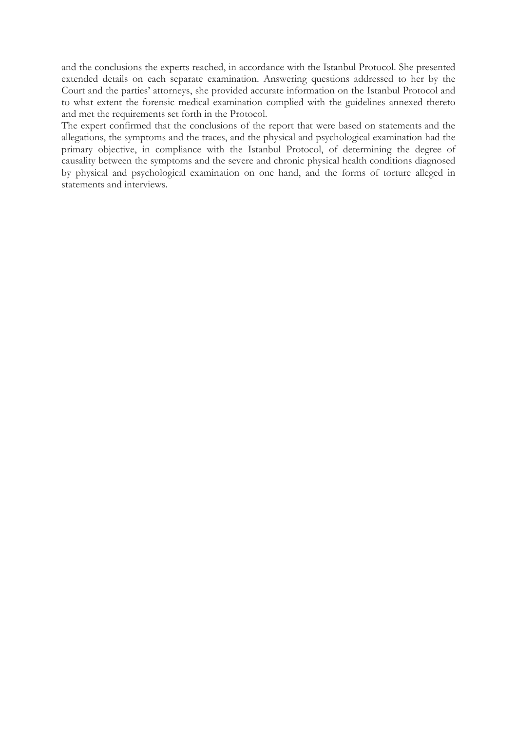and the conclusions the experts reached, in accordance with the Istanbul Protocol. She presented extended details on each separate examination. Answering questions addressed to her by the Court and the parties' attorneys, she provided accurate information on the Istanbul Protocol and to what extent the forensic medical examination complied with the guidelines annexed thereto and met the requirements set forth in the Protocol.

The expert confirmed that the conclusions of the report that were based on statements and the allegations, the symptoms and the traces, and the physical and psychological examination had the primary objective, in compliance with the Istanbul Protocol, of determining the degree of causality between the symptoms and the severe and chronic physical health conditions diagnosed by physical and psychological examination on one hand, and the forms of torture alleged in statements and interviews.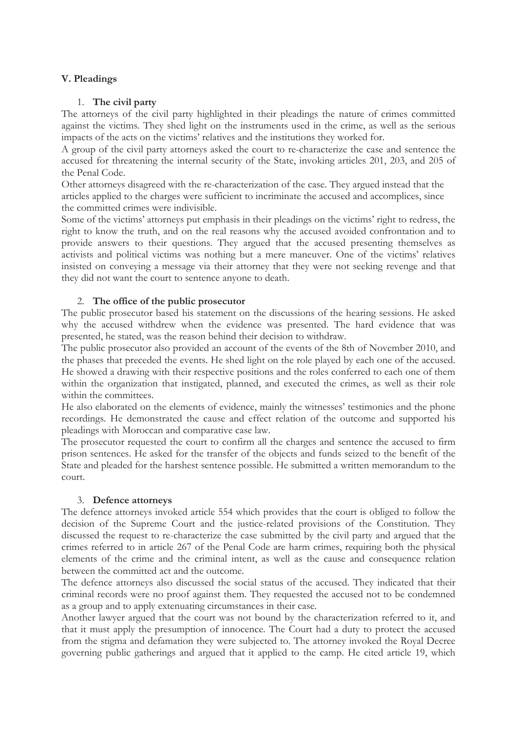## **V. Pleadings**

## 1. **The civil party**

The attorneys of the civil party highlighted in their pleadings the nature of crimes committed against the victims. They shed light on the instruments used in the crime, as well as the serious impacts of the acts on the victims' relatives and the institutions they worked for.

A group of the civil party attorneys asked the court to re-characterize the case and sentence the accused for threatening the internal security of the State, invoking articles 201, 203, and 205 of the Penal Code.

Other attorneys disagreed with the re-characterization of the case. They argued instead that the articles applied to the charges were sufficient to incriminate the accused and accomplices, since the committed crimes were indivisible.

Some of the victims' attorneys put emphasis in their pleadings on the victims' right to redress, the right to know the truth, and on the real reasons why the accused avoided confrontation and to provide answers to their questions. They argued that the accused presenting themselves as activists and political victims was nothing but a mere maneuver. One of the victims' relatives insisted on conveying a message via their attorney that they were not seeking revenge and that they did not want the court to sentence anyone to death.

## 2. **The office of the public prosecutor**

The public prosecutor based his statement on the discussions of the hearing sessions. He asked why the accused withdrew when the evidence was presented. The hard evidence that was presented, he stated, was the reason behind their decision to withdraw.

The public prosecutor also provided an account of the events of the 8th of November 2010, and the phases that preceded the events. He shed light on the role played by each one of the accused. He showed a drawing with their respective positions and the roles conferred to each one of them within the organization that instigated, planned, and executed the crimes, as well as their role within the committees.

He also elaborated on the elements of evidence, mainly the witnesses' testimonies and the phone recordings. He demonstrated the cause and effect relation of the outcome and supported his pleadings with Moroccan and comparative case law.

The prosecutor requested the court to confirm all the charges and sentence the accused to firm prison sentences. He asked for the transfer of the objects and funds seized to the benefit of the State and pleaded for the harshest sentence possible. He submitted a written memorandum to the court.

## 3. **Defence attorneys**

The defence attorneys invoked article 554 which provides that the court is obliged to follow the decision of the Supreme Court and the justice-related provisions of the Constitution. They discussed the request to re-characterize the case submitted by the civil party and argued that the crimes referred to in article 267 of the Penal Code are harm crimes, requiring both the physical elements of the crime and the criminal intent, as well as the cause and consequence relation between the committed act and the outcome.

The defence attorneys also discussed the social status of the accused. They indicated that their criminal records were no proof against them. They requested the accused not to be condemned as a group and to apply extenuating circumstances in their case.

Another lawyer argued that the court was not bound by the characterization referred to it, and that it must apply the presumption of innocence. The Court had a duty to protect the accused from the stigma and defamation they were subjected to. The attorney invoked the Royal Decree governing public gatherings and argued that it applied to the camp. He cited article 19, which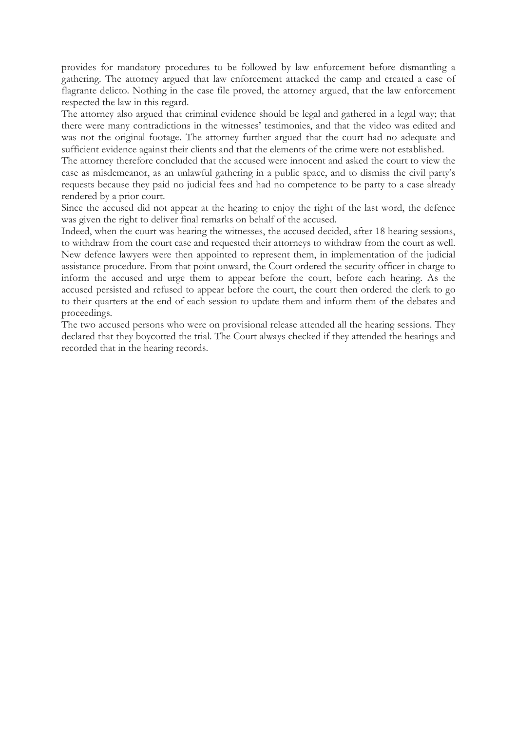provides for mandatory procedures to be followed by law enforcement before dismantling a gathering. The attorney argued that law enforcement attacked the camp and created a case of flagrante delicto. Nothing in the case file proved, the attorney argued, that the law enforcement respected the law in this regard.

The attorney also argued that criminal evidence should be legal and gathered in a legal way; that there were many contradictions in the witnesses' testimonies, and that the video was edited and was not the original footage. The attorney further argued that the court had no adequate and sufficient evidence against their clients and that the elements of the crime were not established.

The attorney therefore concluded that the accused were innocent and asked the court to view the case as misdemeanor, as an unlawful gathering in a public space, and to dismiss the civil party's requests because they paid no judicial fees and had no competence to be party to a case already rendered by a prior court.

Since the accused did not appear at the hearing to enjoy the right of the last word, the defence was given the right to deliver final remarks on behalf of the accused.

Indeed, when the court was hearing the witnesses, the accused decided, after 18 hearing sessions, to withdraw from the court case and requested their attorneys to withdraw from the court as well. New defence lawyers were then appointed to represent them, in implementation of the judicial assistance procedure. From that point onward, the Court ordered the security officer in charge to inform the accused and urge them to appear before the court, before each hearing. As the accused persisted and refused to appear before the court, the court then ordered the clerk to go to their quarters at the end of each session to update them and inform them of the debates and proceedings.

The two accused persons who were on provisional release attended all the hearing sessions. They declared that they boycotted the trial. The Court always checked if they attended the hearings and recorded that in the hearing records.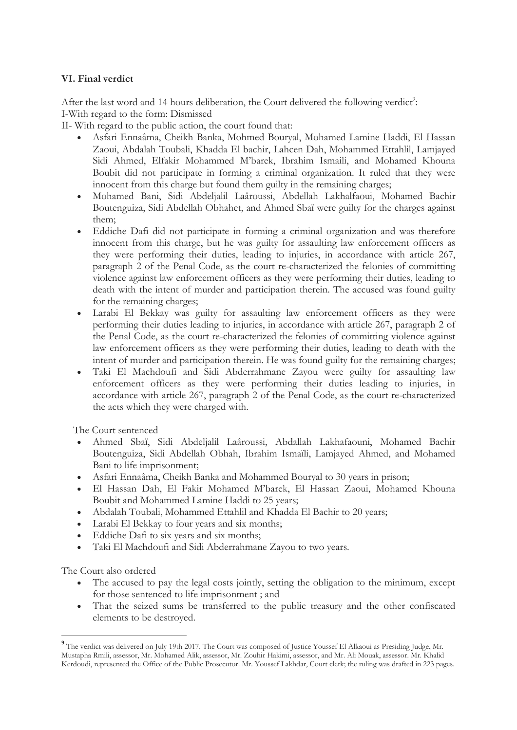# **VI. Final verdict**

After the last word and 14 hours deliberation, the Court delivered the following verdict. I-With regard to the form: Dismissed

II- With regard to the public action, the court found that:

- Asfari Ennaâma, Cheikh Banka, Mohmed Bouryal, Mohamed Lamine Haddi, El Hassan Zaoui, Abdalah Toubali, Khadda El bachir, Lahcen Dah, Mohammed Ettahlil, Lamjayed Sidi Ahmed, Elfakir Mohammed M'barek, Ibrahim Ismaili, and Mohamed Khouna Boubit did not participate in forming a criminal organization. It ruled that they were innocent from this charge but found them guilty in the remaining charges;
- Mohamed Bani, Sidi Abdeljalil Laâroussi, Abdellah Lakhalfaoui, Mohamed Bachir Boutenguiza, Sidi Abdellah Obhahet, and Ahmed Sbaï were guilty for the charges against them;
- Eddiche Dafi did not participate in forming a criminal organization and was therefore innocent from this charge, but he was guilty for assaulting law enforcement officers as they were performing their duties, leading to injuries, in accordance with article 267, paragraph 2 of the Penal Code, as the court re-characterized the felonies of committing violence against law enforcement officers as they were performing their duties, leading to death with the intent of murder and participation therein. The accused was found guilty for the remaining charges;
- Larabi El Bekkay was guilty for assaulting law enforcement officers as they were performing their duties leading to injuries, in accordance with article 267, paragraph 2 of the Penal Code, as the court re-characterized the felonies of committing violence against law enforcement officers as they were performing their duties, leading to death with the intent of murder and participation therein. He was found guilty for the remaining charges;
- Taki El Machdoufi and Sidi Abderrahmane Zayou were guilty for assaulting law enforcement officers as they were performing their duties leading to injuries, in accordance with article 267, paragraph 2 of the Penal Code, as the court re-characterized the acts which they were charged with.

The Court sentenced

- Ahmed Sbaï, Sidi Abdeljalil Laâroussi, Abdallah Lakhafaouni, Mohamed Bachir Boutenguiza, Sidi Abdellah Obhah, Ibrahim Ismaïli, Lamjayed Ahmed, and Mohamed Bani to life imprisonment;
- Asfari Ennaâma, Cheikh Banka and Mohammed Bouryal to 30 years in prison;
- El Hassan Dah, El Fakir Mohamed M'barek, El Hassan Zaoui, Mohamed Khouna Boubit and Mohammed Lamine Haddi to 25 years;
- Abdalah Toubali, Mohammed Ettahlil and Khadda El Bachir to 20 years;
- Larabi El Bekkay to four years and six months;
- Eddiche Dafi to six years and six months;
- Taki El Machdoufi and Sidi Abderrahmane Zayou to two years.

The Court also ordered

- The accused to pay the legal costs jointly, setting the obligation to the minimum, except for those sentenced to life imprisonment ; and
- That the seized sums be transferred to the public treasury and the other confiscated elements to be destroyed.

<sup>&</sup>lt;sup>9</sup> The verdict was delivered on July 19th 2017. The Court was composed of Justice Youssef El Alkaoui as Presiding Judge, Mr. Mustapha Rmili, assessor, Mr. Mohamed Alik, assessor, Mr. Zouhir Hakimi, assessor, and Mr. Ali Mouak, assessor. Mr. Khalid Kerdoudi, represented the Office of the Public Prosecutor. Mr. Youssef Lakhdar, Court clerk; the ruling was drafted in 223 pages.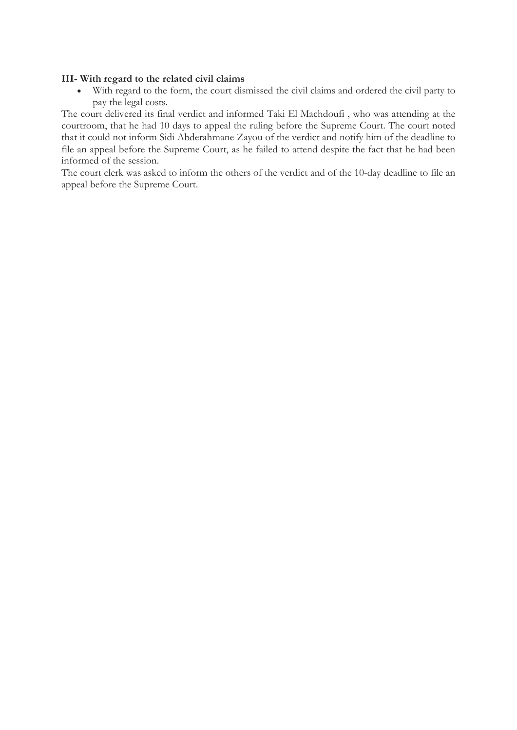## **III- With regard to the related civil claims**

 With regard to the form, the court dismissed the civil claims and ordered the civil party to pay the legal costs.

The court delivered its final verdict and informed Taki El Machdoufi , who was attending at the courtroom, that he had 10 days to appeal the ruling before the Supreme Court. The court noted that it could not inform Sidi Abderahmane Zayou of the verdict and notify him of the deadline to file an appeal before the Supreme Court, as he failed to attend despite the fact that he had been informed of the session.

The court clerk was asked to inform the others of the verdict and of the 10-day deadline to file an appeal before the Supreme Court.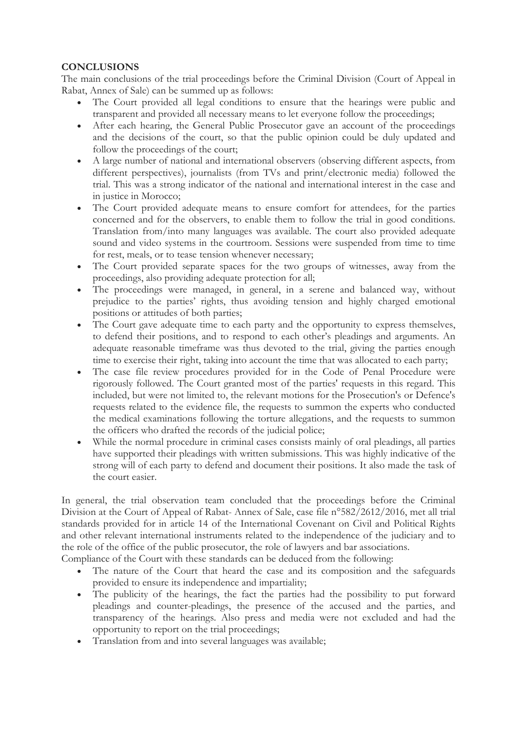# **CONCLUSIONS**

The main conclusions of the trial proceedings before the Criminal Division (Court of Appeal in Rabat, Annex of Sale) can be summed up as follows:

- The Court provided all legal conditions to ensure that the hearings were public and transparent and provided all necessary means to let everyone follow the proceedings;
- After each hearing, the General Public Prosecutor gave an account of the proceedings and the decisions of the court, so that the public opinion could be duly updated and follow the proceedings of the court;
- A large number of national and international observers (observing different aspects, from different perspectives), journalists (from TVs and print/electronic media) followed the trial. This was a strong indicator of the national and international interest in the case and in justice in Morocco;
- The Court provided adequate means to ensure comfort for attendees, for the parties concerned and for the observers, to enable them to follow the trial in good conditions. Translation from/into many languages was available. The court also provided adequate sound and video systems in the courtroom. Sessions were suspended from time to time for rest, meals, or to tease tension whenever necessary;
- The Court provided separate spaces for the two groups of witnesses, away from the proceedings, also providing adequate protection for all;
- The proceedings were managed, in general, in a serene and balanced way, without prejudice to the parties' rights, thus avoiding tension and highly charged emotional positions or attitudes of both parties;
- The Court gave adequate time to each party and the opportunity to express themselves, to defend their positions, and to respond to each other's pleadings and arguments. An adequate reasonable timeframe was thus devoted to the trial, giving the parties enough time to exercise their right, taking into account the time that was allocated to each party;
- The case file review procedures provided for in the Code of Penal Procedure were rigorously followed. The Court granted most of the parties' requests in this regard. This included, but were not limited to, the relevant motions for the Prosecution's or Defence's requests related to the evidence file, the requests to summon the experts who conducted the medical examinations following the torture allegations, and the requests to summon the officers who drafted the records of the judicial police;
- While the normal procedure in criminal cases consists mainly of oral pleadings, all parties have supported their pleadings with written submissions. This was highly indicative of the strong will of each party to defend and document their positions. It also made the task of the court easier.

In general, the trial observation team concluded that the proceedings before the Criminal Division at the Court of Appeal of Rabat- Annex of Sale, case file n°582/2612/2016, met all trial standards provided for in article 14 of the International Covenant on Civil and Political Rights and other relevant international instruments related to the independence of the judiciary and to the role of the office of the public prosecutor, the role of lawyers and bar associations.

Compliance of the Court with these standards can be deduced from the following:

- The nature of the Court that heard the case and its composition and the safeguards provided to ensure its independence and impartiality;
- The publicity of the hearings, the fact the parties had the possibility to put forward pleadings and counter-pleadings, the presence of the accused and the parties, and transparency of the hearings. Also press and media were not excluded and had the opportunity to report on the trial proceedings;
- Translation from and into several languages was available;